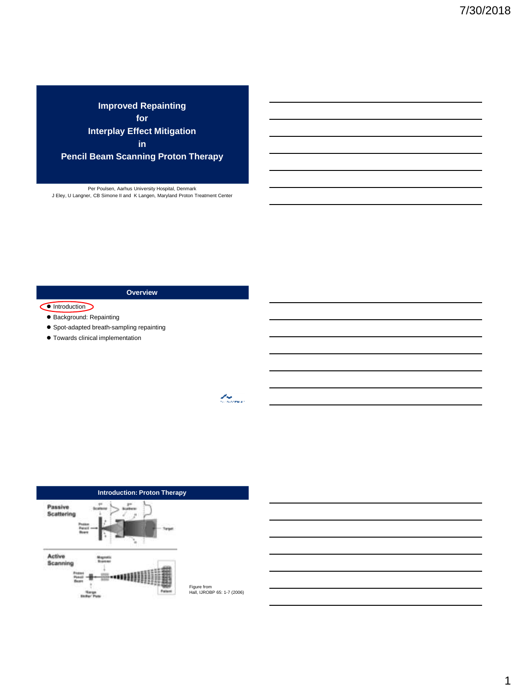**Improved Repainting for Interplay Effect Mitigation in** 

**Pencil Beam Scanning Proton Therapy**

Per Poulsen, Aarhus University Hospital, Denmark J Eley, U Langner, CB Simone II and K Langen, Maryland Proton Treatment Center

**Overview**

### Introduction

- Background: Repainting
- Spot-adapted breath-sampling repainting
- Towards clinical implementation



t og de former.<br>Geografia

Figure from Hall, IJROBP 65: 1-7 (2006)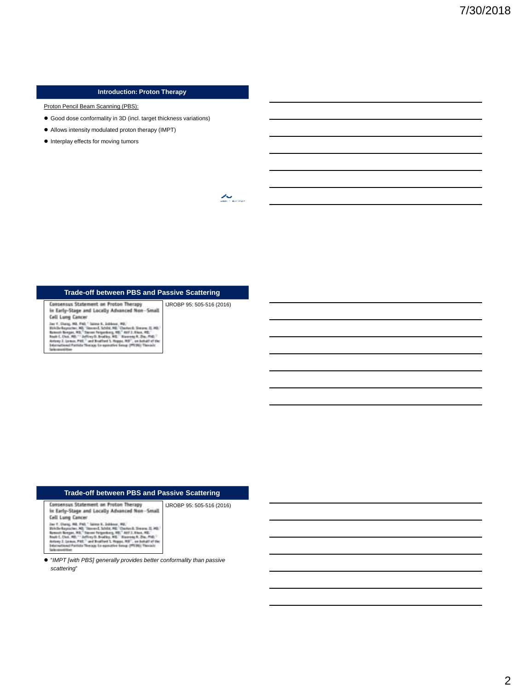## **Introduction: Proton Therapy**

Proton Pencil Beam Scanning (PBS):

- Good dose conformality in 3D (incl. target thickness variations)
- Allows intensity modulated proton therapy (IMPT)
- $\bullet$  Interplay effects for moving tumors

 $\sum_{\alpha\in\mathbb{N}}$ 

# **Trade-off between PBS and Passive Scattering** IJROBP 95: 505-516 (2016)

Consensus Statement on Proton Therapy<br>in Early-Stage and Locally Advanced Non-Small Cell Lung Cancer  $\mathsf{Cell}$  Lagreg (Letters)<br> $\mathsf{Dec}^{\mathsf{C}}(\mathsf{C}^{\mathsf{H}}) = \mathsf{Dec}^{\mathsf{H}}(\mathsf{C}^{\mathsf{H}}) = \mathsf{Loc}^{\mathsf{H}} \mathsf{C}^{\mathsf{H}}$  . Finally, the state of the state of the state of the first<br>state  $\mathsf{Rel}^{\mathsf{H}}(\mathsf{C}^{\mathsf{H}})$  . The state of

| Trade-off between PBS and Passive Scattering                                        |                           |  |
|-------------------------------------------------------------------------------------|---------------------------|--|
| Consensus Statement on Proton Therapy<br>Early-Stage and Locally Advanced Non-Small | IJROBP 95: 505-516 (2016) |  |
|                                                                                     |                           |  |

 "*IMPT [with PBS] generally provides better conformality than passive scattering*"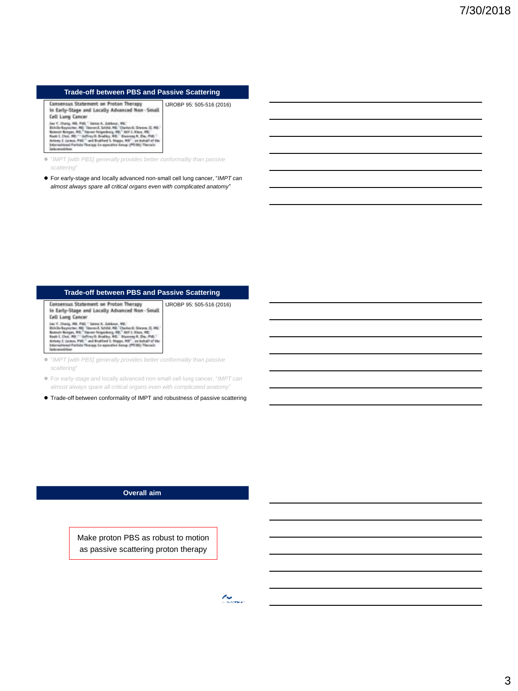#### **Trade-off between PBS and Passive Scattering**

Consensus Statement on Proton Therapy IJROBP 95: 505-516 (2016) in Early-Stage and Locally Advanced Non-Small Cell Lung Cancer

with a single ML 1980s is a lablear (ML)<br>and L and L and L and L and L and L and L and L and L and L and L and L and L and L and L and L and L and L and L and L and L and L and L and L and L and L and L and L and L and L

 "*IMPT [with PBS] generally provides better conformality than passive scattering*"

 For early-stage and locally advanced non-small cell lung cancer, "*IMPT can almost always spare all critical organs even with complicated anatomy*"

## **Trade-off between PBS and Passive Scattering**

Consensus Statement on Proton Therapy IJROBP 95: 505-516 (2016) in Early-Stage and Locally Advanced Non-Small Cell Lung Cancer Vers. Laury, 10. Pol. " Savon F. Johnson, 192, ...<br>
David Caperator, 192, ...<br>
David Caperator, 193, "Savon C. Schille, 192, ...<br>
Barneth Respublic Party of December 193, ...<br>
Henry J. (199, ..., ...) ...<br>
New L. (199, ..

 "*IMPT [with PBS] generally provides better conformality than passive scattering*"

 For early-stage and locally advanced non-small cell lung cancer, "*IMPT can almost always spare all critical organs even with complicated anatomy*"

Trade-off between conformality of IMPT and robustness of passive scattering

## **Overall aim**

Make proton PBS as robust to motion as passive scattering proton therapy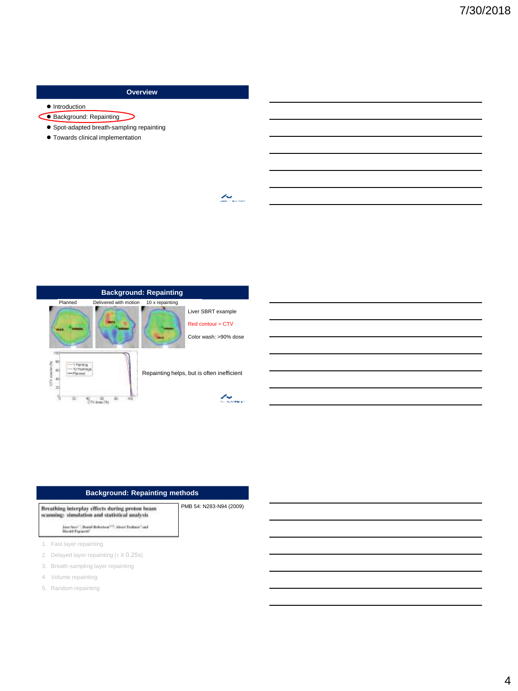# **Overview**

 $\sum_{\alpha\in\mathbb{N}}$ 

- $\bullet$  Introduction
- Background: Repainting ╮
	- Spot-adapted breath-sampling repainting
	- Towards clinical implementation



| <b>Background: Repainting methods</b>                                                                                                                            |  |  |
|------------------------------------------------------------------------------------------------------------------------------------------------------------------|--|--|
| PMB 54: N283-N94 (2009)<br>Breathing interplay effects during proton beam<br>anning: simulation and statistical analysis                                         |  |  |
| Jaco Secol : Donal Belgistow <sup>305</sup> , Alexei Technol <sup>2</sup> and<br>Barnell Processor (1999) and the Committee of the Committee of the Committee of |  |  |
| 1. Fast layer repainting                                                                                                                                         |  |  |
| 2. Delayed layer repainting ( $\tau \geq 0.25$ s)                                                                                                                |  |  |
| 3. Breath-sampling layer repainting                                                                                                                              |  |  |
| 4. Volume repainting                                                                                                                                             |  |  |
|                                                                                                                                                                  |  |  |

5. Random repainting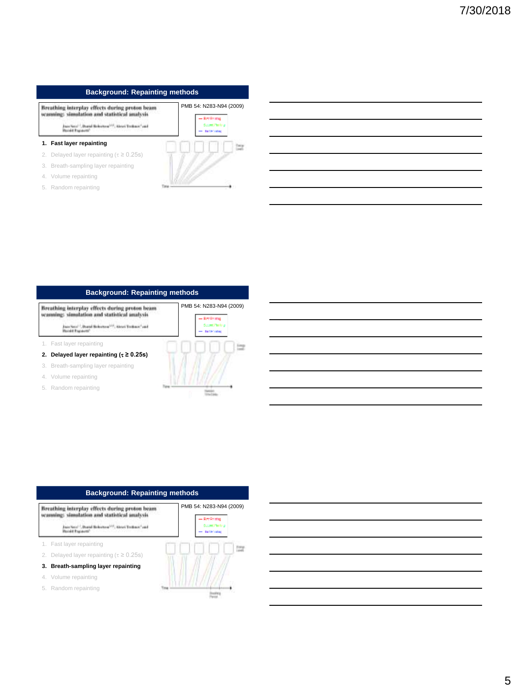## **Background: Repainting methods**

Breathing interplay effects during proton beam<br>scanning: simulation and statistical analysis

Joan Karal<sup>-1</sup>, Downi Britannow<sup>103</sup>, Alexei Trathman<sup>2</sup> and<br>Razald Englands<sup>2</sup>

#### **1. Fast layer repainting**

- 2. Delayed layer repainting ( $\tau \geq 0.25$ s)
- 3. Breath-sampling layer repainting
- 4. Volume repainting
- 5. Random repainting



PMB 54: N283-N94 (2009)

# **Background: Repainting methods**

Breathing interplay effects during proton beam seanning: simulation and statistical analysis

Juan Sacu<sup>r J</sup>, Downi Britannow<sup>1934</sup>, Alexan Tradison<sup>4</sup> and<br>Razald Engravati<sup>3</sup>

- 1. Fast layer repainting
- **2. Delayed** layer repainting  $(\tau \ge 0.25s)$
- 3. Breath-sampling layer repainting
- 4. Volume repainting
- 5. Random repainting



# **Background: Repainting methods**

Breathing interplay effects during proton beam scanning: simulation and statistical analysis

Juan Karal <sup>1</sup>, Daniel Beleaters <sup>(23)</sup>, Alexei Treibace" and<br>Razald Engelanti<sup>)</sup>

- 1. Fast layer repainting
- 2. Delayed layer repainting ( $\tau \geq 0.25$ s)
- **3. Breath-sampling layer repainting**
- 4. Volume repainting
- 5. Random repainting

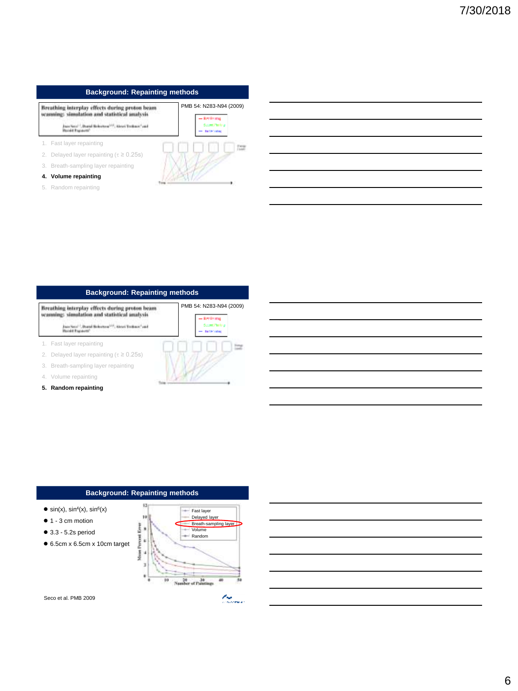## **Background: Repainting methods**

Breathing interplay effects during proton beam<br>semming: simulation and statistical analysis Joan Karal<sup>-1</sup>, Downi Britannow<sup>103</sup>, Alexei Trathman<sup>2</sup> and<br>Razald Englands<sup>2</sup>

- 1. Fast layer repainting
- 2. Delayed layer repainting ( $\tau \geq 0.25$ s)
- 3. Breath-sampling layer repainting

## **4. Volume repainting**

5. Random repainting



PMB 54: N283-N94 (2009)

- Reckving

Scott Pering

# **Background: Repainting methods**

Breathing interplay effects during proton beam seanning: simulation and statistical analysis

Juan Sacu<sup>r J</sup>, Downi Britannow<sup>1934</sup>, Alexan Tradison<sup>4</sup> and<br>Razald Engravati<sup>3</sup>

1. Fast layer repainting

2. Delayed layer repainting ( $\tau \geq 0.25s$ )

3. Breath-sampling layer repainting

4. Volume repainting

**5. Random repainting**



## **Background: Repainting methods**



 $\bullet$  3.3 - 5.2s period

6.5cm x 6.5cm x 10cm target



t og sterre

Seco et al. PMB 2009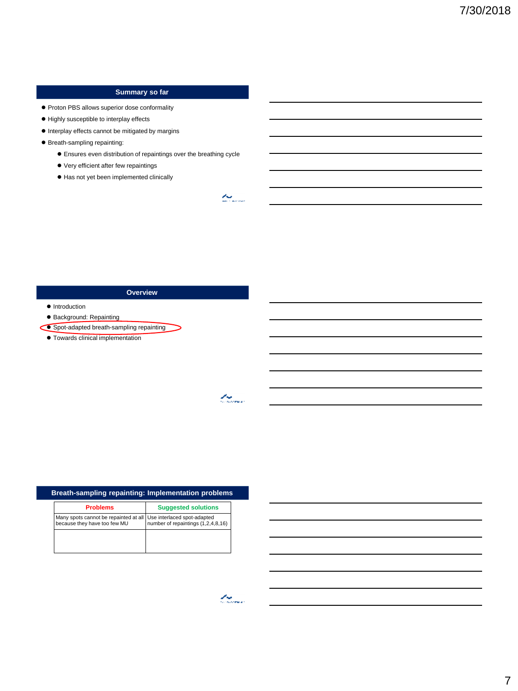# **Summary so far**

Proton PBS allows superior dose conformality

- $\bullet$  Highly susceptible to interplay effects
- $\bullet$  Interplay effects cannot be mitigated by margins
- Breath-sampling repainting:
	- Ensures even distribution of repaintings over the breathing cycle
	- Very efficient after few repaintings
	- $\bullet$  Has not yet been implemented clinically

## **Overview**

- $\bullet$  Introduction
- Background: Repainting
- Spot-adapted breath-sampling repainting
	- Towards clinical implementation

| Breath-sampling repainting: Implementation problems                                               |                                    |  |  |
|---------------------------------------------------------------------------------------------------|------------------------------------|--|--|
| <b>Problems</b>                                                                                   | <b>Suggested solutions</b>         |  |  |
| Many spots cannot be repainted at all Use interlaced spot-adapted<br>because they have too few MU | number of repaintings (1,2,4,8,16) |  |  |
|                                                                                                   |                                    |  |  |
|                                                                                                   |                                    |  |  |

 $\overline{\mathcal{L}_{\mathcal{S}_{\text{cusp}}}}$ 

 $\sim$ 

t thomas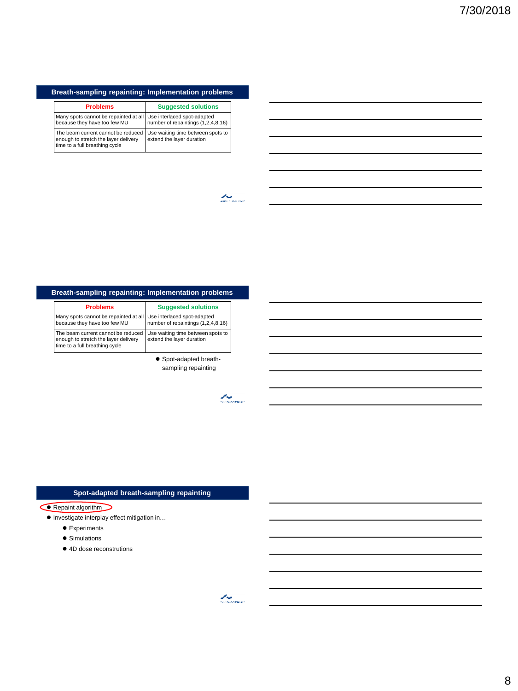# **Breath-sampling repainting: Implementation problems**

| <b>Problems</b>                                                                                              | <b>Suggested solutions</b>                                     |
|--------------------------------------------------------------------------------------------------------------|----------------------------------------------------------------|
| Many spots cannot be repainted at all Use interlaced spot-adapted<br>because they have too few MU            | number of repaintings (1,2,4,8,16)                             |
| The beam current cannot be reduced<br>enough to stretch the layer delivery<br>time to a full breathing cycle | Use waiting time between spots to<br>extend the layer duration |

 $\sum_{\text{max}}$ 

# **Breath-sampling repainting: Implementation problems**

| <b>Problems</b>                                                                                              | <b>Suggested solutions</b>                                     |
|--------------------------------------------------------------------------------------------------------------|----------------------------------------------------------------|
| Many spots cannot be repainted at all Use interlaced spot-adapted<br>because they have too few MU            | number of repaintings (1,2,4,8,16)                             |
| The beam current cannot be reduced<br>enough to stretch the layer delivery<br>time to a full breathing cycle | Use waiting time between spots to<br>extend the layer duration |

 Spot-adapted breathsampling repainting

 $\mathcal{L}_{\text{Suss}}$ 

# **Spot-adapted breath-sampling repainting**

#### Repaint algorithm

● Investigate interplay effect mitigation in...

- **•** Experiments
- **•** Simulations
- 4D dose reconstrutions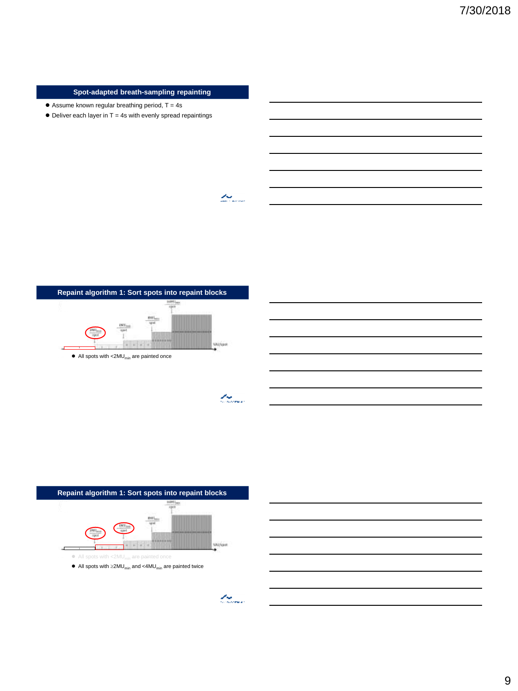## **Spot-adapted breath-sampling repainting**

- $\bullet$  Assume known regular breathing period, T = 4s
- $\bullet$  Deliver each layer in T = 4s with evenly spread repaintings





La Santa Cardial



than a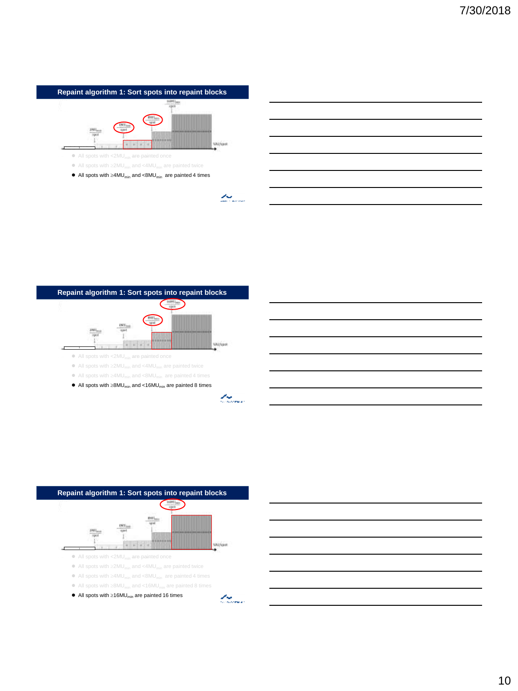





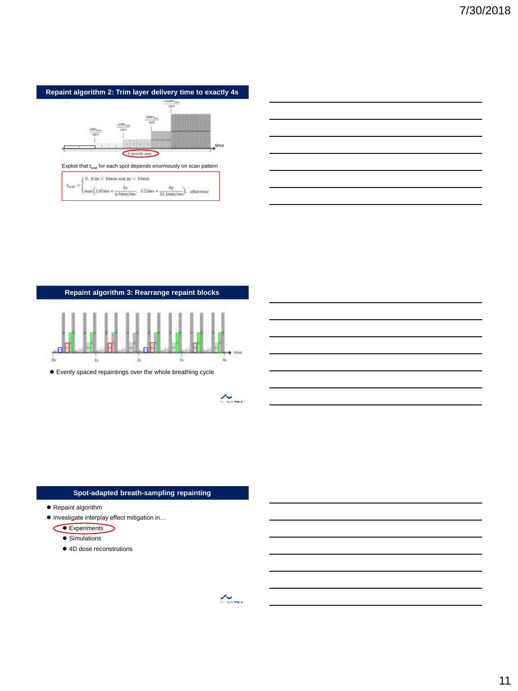

| <u>state and the control of the control of the control of the control of the control of the control of the control of the control of the control of the control of the control of the control of the control of the control of t</u> |  |  |
|--------------------------------------------------------------------------------------------------------------------------------------------------------------------------------------------------------------------------------------|--|--|
|                                                                                                                                                                                                                                      |  |  |
| and the control of the control of the control of the control of the control of the control of the control of the control of the control of the control of the control of the control of the control of the control of the cont       |  |  |
|                                                                                                                                                                                                                                      |  |  |

**Repaint algorithm 3: Rearrange repaint blocks** time  $\alpha$ 

Evenly spaced repaintings over the whole breathing cycle

# **Spot-adapted breath-sampling repainting**

- Repaint algorithm
- Investigate interplay effect mitigation in...
	- Experiments
		- **Simulations**
		- 4D dose reconstrutions

t marina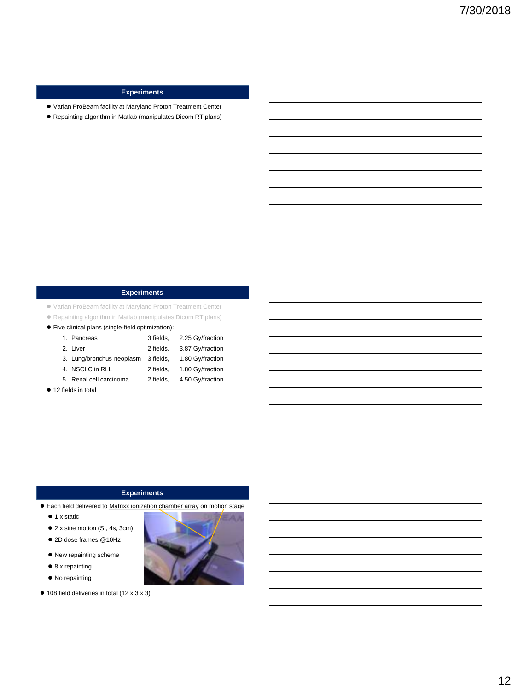# **Experiments**

- Varian ProBeam facility at Maryland Proton Treatment Center
- Repainting algorithm in Matlab (manipulates Dicom RT plans)

## **Experiments**

Varian ProBeam facility at Maryland Proton Treatment Center

- Repainting algorithm in Matlab (manipulates Dicom RT plans)
- Five clinical plans (single-field optimization):

| 1. Pancreas               | 3 fields, | 2.25 Gy/fraction |
|---------------------------|-----------|------------------|
| 2. Liver                  | 2 fields. | 3.87 Gy/fraction |
| 3. Lung/bronchus neoplasm | 3 fields. | 1.80 Gy/fraction |
| 4. NSCLC in RLL           | 2 fields. | 1.80 Gy/fraction |
| 5. Renal cell carcinoma   | 2 fields. | 4.50 Gy/fraction |

● 12 fields in total

## **Experiments**

- Each field delivered to Matrixx ionization chamber array on motion stage
	- $\bullet$  1 x static
	- 2 x sine motion (SI, 4s, 3cm)
	- 2D dose frames @10Hz
	- New repainting scheme
	- 8 x repainting
	- $\bullet$  No repainting
- 108 field deliveries in total (12 x 3 x 3)

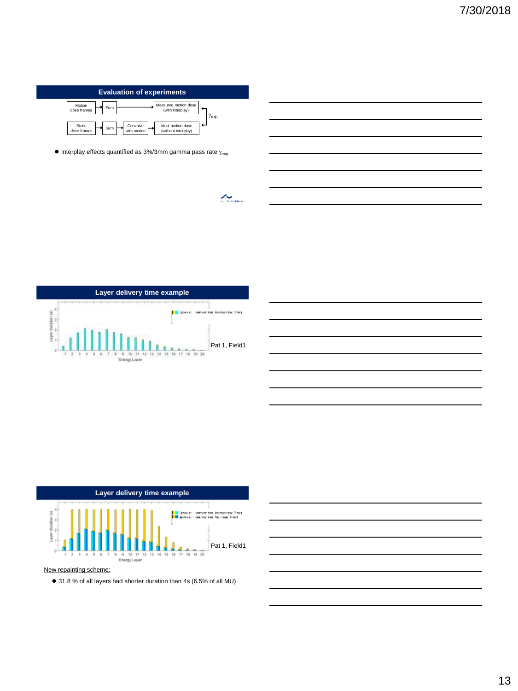

 $\bullet$  Interplay effects quantified as 3%/3mm gamma pass rate  $\gamma_{\rm exp}$ 

 $\mathcal{L}_{\mathcal{S}_{\text{cusp}}}$ 







New repainting scheme:

31.8 % of all layers had shorter duration than 4s (6.5% of all MU)

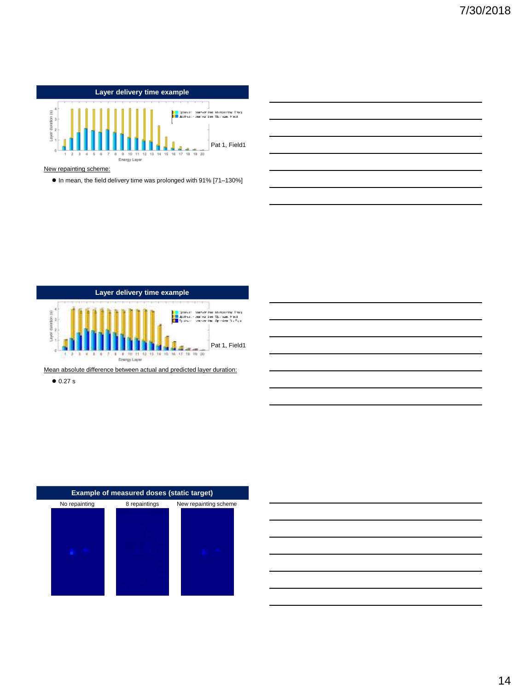

#### New repainting scheme:

 $\bullet$  In mean, the field delivery time was prolonged with 91% [71-130%]



Mean absolute difference between actual and predicted layer duration:

 $\bullet$  0.27 s



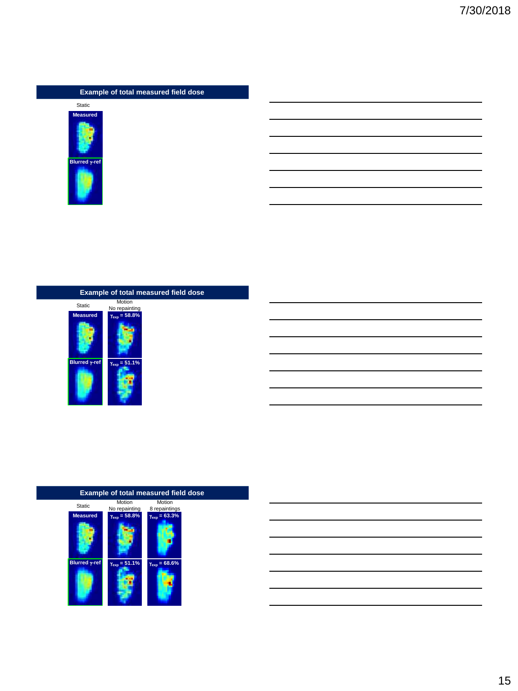# **Example of total measured field dose**



# **Example of total measured field dose**



# **Measured** Static  $\gamma_{\rm exp} = 58.8\%$   $\gamma_{\rm exp} = 63.3\%$ **exp exp exp exp exp exp exp exp exp exp exp exp exp exp exp exp exp exp exp exp exp exp exp exp exp exp exp exp exp exp exp exp exp exp exp exp exp** Motion No repainting Motion 8 repaintings

# **Example of total measured field dose**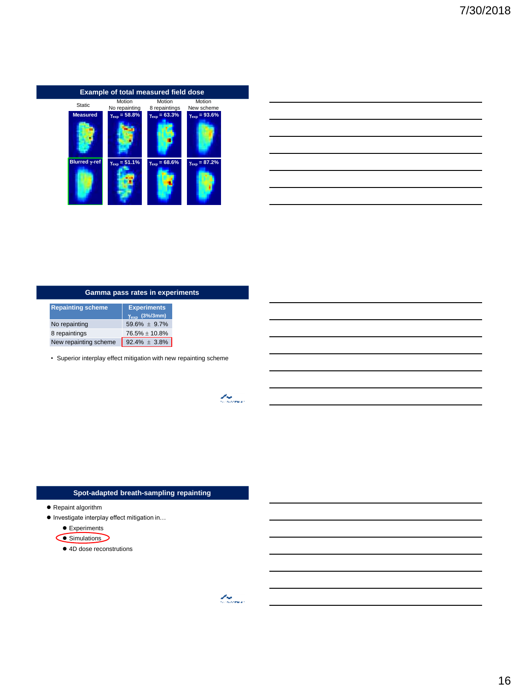

| <u> 1989 - Johann Stoff, deutscher Stoff, der Stoff, der Stoff, der Stoff, der Stoff, der Stoff, der Stoff, der S</u>  |  |  |
|------------------------------------------------------------------------------------------------------------------------|--|--|
| <u> 1989 - Johann Stoff, deutscher Stoff, der Stoff, der Stoff, der Stoff, der Stoff, der Stoff, der Stoff, der S</u>  |  |  |
| <u> 1989 - Johann Stoff, deutscher Stoff, der Stoff, der Stoff, der Stoff, der Stoff, der Stoff, der Stoff, der S</u>  |  |  |
| <u> 1989 - Jan Samuel Barbara, margaret e a seu a componente de la componentación de la componentación de la compo</u> |  |  |
| <u> 1989 - Johann Stoff, amerikansk politiker (d. 1989)</u>                                                            |  |  |
|                                                                                                                        |  |  |

 $\overline{\phantom{0}}$ 

# **Gamma pass rates in experiments**

| <b>Repainting scheme</b> | <b>Experiments</b><br>$\gamma_{\rm exp}$ (3%/3mm) |
|--------------------------|---------------------------------------------------|
| No repainting            | $59.6\% \pm 9.7\%$                                |
| 8 repaintings            | $76.5\% \pm 10.8\%$                               |
| New repainting scheme    | $92.4\% \pm 3.8\%$                                |

• Superior interplay effect mitigation with new repainting scheme

# **Spot-adapted breath-sampling repainting**

- Repaint algorithm
- Investigate interplay effect mitigation in...
	- Experiments
	- Simulations
		- 4D dose reconstrutions

t og de former.<br>Geografia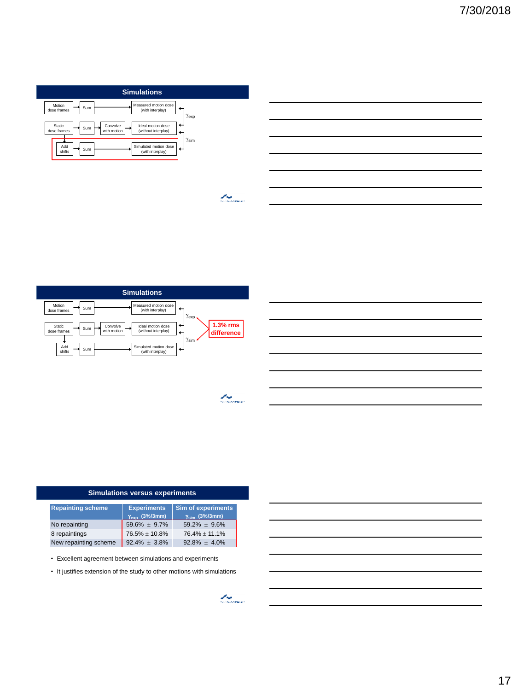







 $\mathcal{L}_{\mathcal{S},\mathcal{S},\mathcal{S}}$ 

| <b>Simulations versus experiments</b> |                                                   |                                                             |
|---------------------------------------|---------------------------------------------------|-------------------------------------------------------------|
| <b>Repainting scheme</b>              | <b>Experiments</b><br>$\gamma_{\rm exp}$ (3%/3mm) | <b>Sim of experiments</b><br>$\gamma_{\text{sim}}$ (3%/3mm) |
| No repainting                         | $59.6\% \pm 9.7\%$                                | $59.2\% \pm 9.6\%$                                          |
| 8 repaintings                         | 76.5% ± 10.8%                                     | $76.4\% \pm 11.1\%$                                         |
| New repainting scheme                 | $92.4\% \pm 3.8\%$                                | $92.8\% \pm 4.0\%$                                          |

• Excellent agreement between simulations and experiments

• It justifies extension of the study to other motions with simulations

 $\mathcal{L}_{\mathcal{S}_{\text{cusp}}}$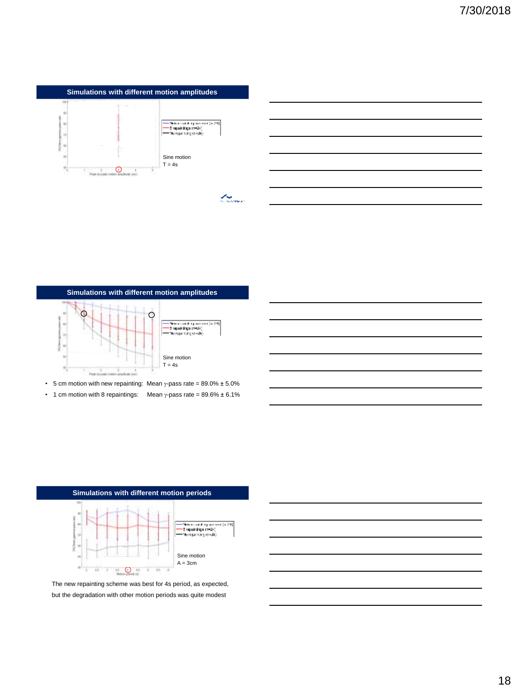



- 5 cm motion with new repainting: Mean  $\gamma$ -pass rate = 89.0%  $\pm$  5.0%
- 1 cm motion with 8 repaintings: Mean  $\gamma$ -pass rate = 89.6%  $\pm$  6.1%



The new repainting scheme was best for 4s period, as expected, but the degradation with other motion periods was quite modest

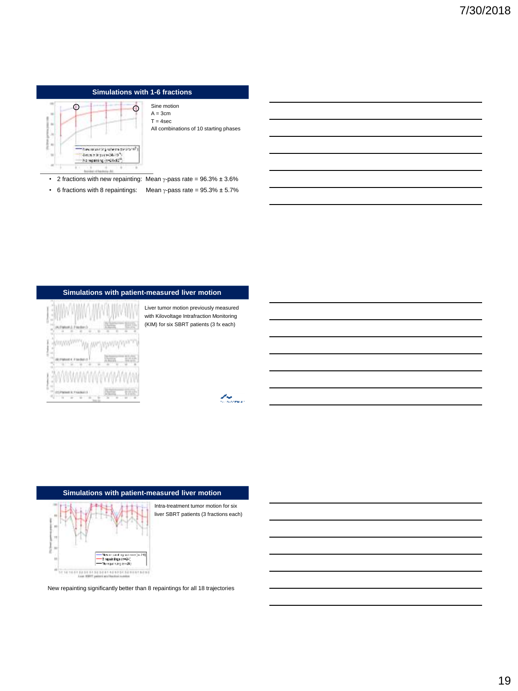# **Simulations with 1-6 fractions**



Sine motion  $A = 3cm$  $T = 4$ sec All combinations of 10 starting phases

• 2 fractions with new repainting: Mean  $\gamma$ -pass rate = 96.3%  $\pm$  3.6%

• 6 fractions with 8 repaintings: Mean  $\gamma$ -pass rate = 95.3%  $\pm$  5.7%

# **Simulations with patient-measured liver motion**



Liver tumor motion previously measured with Kilovoltage Intrafraction Monitoring (KIM) for six SBRT patients (3 fx each)

La Santa Cardiana.<br>Tanzania de la

## **Simulations with patient-measured liver motion**



Intra-treatment tumor motion for six liver SBRT patients (3 fractions each)

New repainting significantly better than 8 repaintings for all 18 trajectories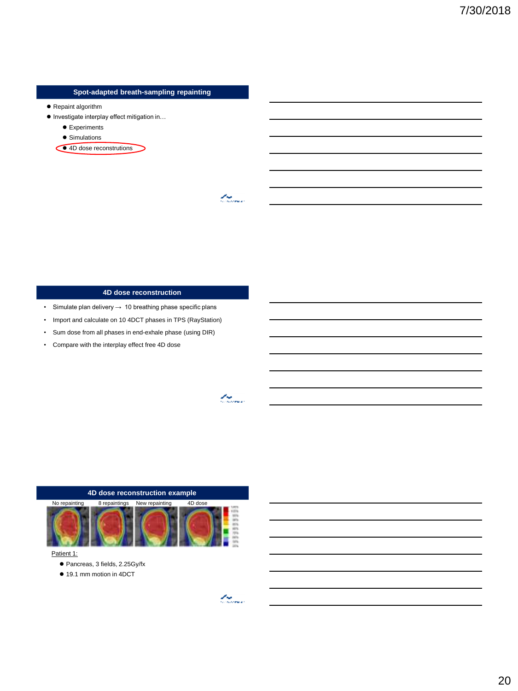## **Spot-adapted breath-sampling repainting**

- Repaint algorithm
- Investigate interplay effect mitigation in...
	- **•** Experiments
	- Simulations
	- <sup>4D</sup> dose reconstrutions

## **4D dose reconstruction**

- Simulate plan delivery  $\rightarrow$  10 breathing phase specific plans
- Import and calculate on 10 4DCT phases in TPS (RayStation)
- Sum dose from all phases in end-exhale phase (using DIR)
- Compare with the interplay effect free 4D dose

### **4D dose reconstruction example**



#### Patient 1:

- Pancreas, 3 fields, 2.25Gy/fx
- 19.1 mm motion in 4DCT

 $\overline{\mathcal{L}_{\text{source}}^2}$ 

t thomas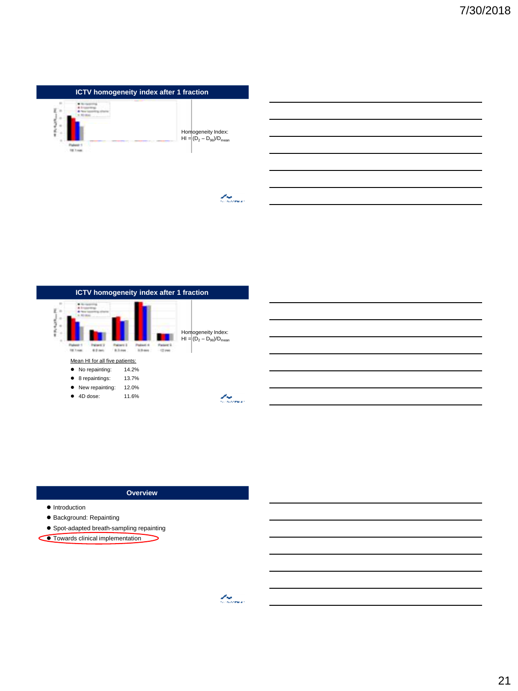

 $\mathcal{L}_{\mathcal{S},\mathcal{S},\mathcal{S}}$ 



### **Overview**

⊃

- $\bullet$  Introduction
- Background: Repainting
- Spot-adapted breath-sampling repainting
- **Towards clinical implementation**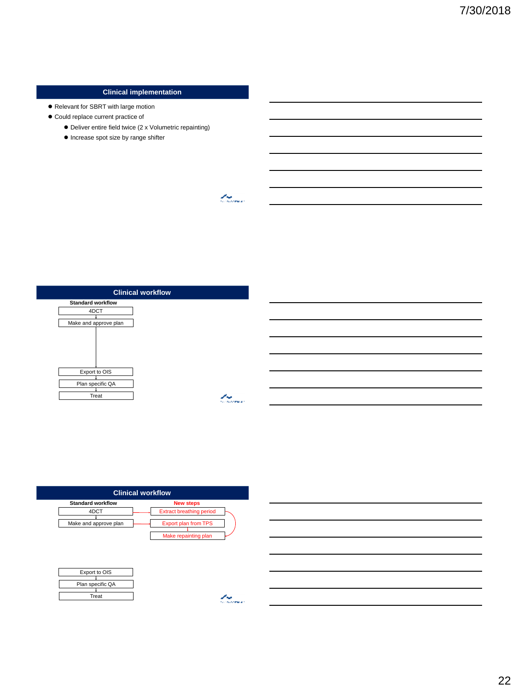# **Clinical implementation**

- Relevant for SBRT with large motion
- $\bullet$  Could replace current practice of
	- Deliver entire field twice (2 x Volumetric repainting)
	- $\bullet$  Increase spot size by range shifter

**Clinical workflow**

 $25\%$ 

| ----                     | . .<br>------ |
|--------------------------|---------------|
| <b>Standard workflow</b> |               |
| 4DCT                     |               |
| Make and approve plan    |               |
|                          |               |
|                          |               |
|                          |               |
|                          |               |
| Export to OIS            |               |
| Plan specific QA         |               |
| Treat                    |               |
|                          |               |

| <b>Clinical workflow</b> |                                 |  |
|--------------------------|---------------------------------|--|
| <b>Standard workflow</b> | <b>New steps</b>                |  |
| 4DCT                     | <b>Extract breathing period</b> |  |
| Make and approve plan    | <b>Export plan from TPS</b>     |  |
|                          | Make repainting plan            |  |
|                          |                                 |  |
|                          |                                 |  |
| Export to OIS            |                                 |  |
| Plan specific QA         |                                 |  |
| Treat                    |                                 |  |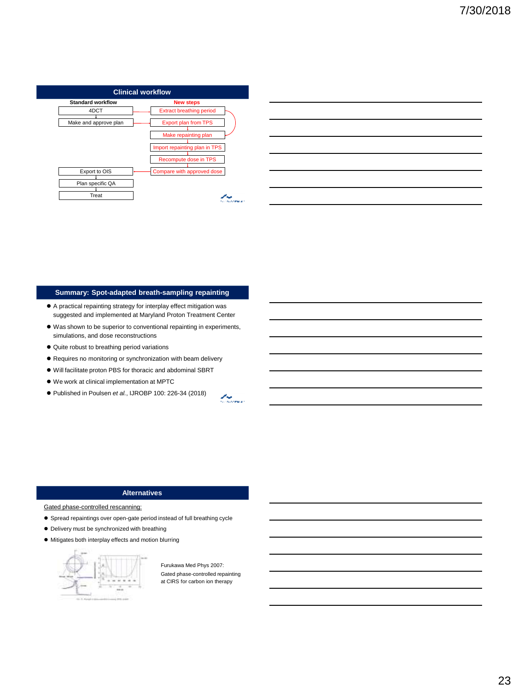| <b>Extract breathing period</b><br>4DCT<br>Export plan from TPS<br>Make and approve plan<br>Make repainting plan<br>Import repainting plan in TPS<br>Recompute dose in TPS<br>Export to OIS<br>Plan specific QA | <b>Standard workflow</b> | <b>New steps</b>           |
|-----------------------------------------------------------------------------------------------------------------------------------------------------------------------------------------------------------------|--------------------------|----------------------------|
|                                                                                                                                                                                                                 |                          |                            |
|                                                                                                                                                                                                                 |                          |                            |
|                                                                                                                                                                                                                 |                          |                            |
|                                                                                                                                                                                                                 |                          |                            |
|                                                                                                                                                                                                                 |                          |                            |
|                                                                                                                                                                                                                 |                          | Compare with approved dose |
|                                                                                                                                                                                                                 |                          |                            |

| <u> 1989 - Johann Stoff, deutscher Stoff, der Stoff, der Stoff, der Stoff, der Stoff, der Stoff, der Stoff, der S</u>  |  |  |
|------------------------------------------------------------------------------------------------------------------------|--|--|
|                                                                                                                        |  |  |
| <u> 1989 - Johann Stoff, deutscher Stoff, der Stoff, der Stoff, der Stoff, der Stoff, der Stoff, der Stoff, der S</u>  |  |  |
| <u> 1989 - Jan Samuel Barbara, margaret e a seu a componente de la componentación de la componentación de la compo</u> |  |  |
| <u> 1989 - Andrea Santa Andrea Andrea Andrea Andrea Andrea Andrea Andrea Andrea Andrea Andrea Andrea Andrea Andr</u>   |  |  |
|                                                                                                                        |  |  |

# **Summary: Spot-adapted breath-sampling repainting**

- A practical repainting strategy for interplay effect mitigation was suggested and implemented at Maryland Proton Treatment Center
- Was shown to be superior to conventional repainting in experiments, simulations, and dose reconstructions
- $\bullet$  Quite robust to breathing period variations
- Requires no monitoring or synchronization with beam delivery
- Will facilitate proton PBS for thoracic and abdominal SBRT
- We work at clinical implementation at MPTC
- Published in Poulsen *et al.*, IJROBP 100: 226-34 (2018)

Lander (d. 1871)<br>Contaer (d. 1871)

## **Alternatives**

Gated phase-controlled rescanning:

- Spread repaintings over open-gate period instead of full breathing cycle
- Delivery must be synchronized with breathing
- Mitigates both interplay effects and motion blurring



Furukawa Med Phys 2007: Gated phase-controlled repainting at CIRS for carbon ion therapy